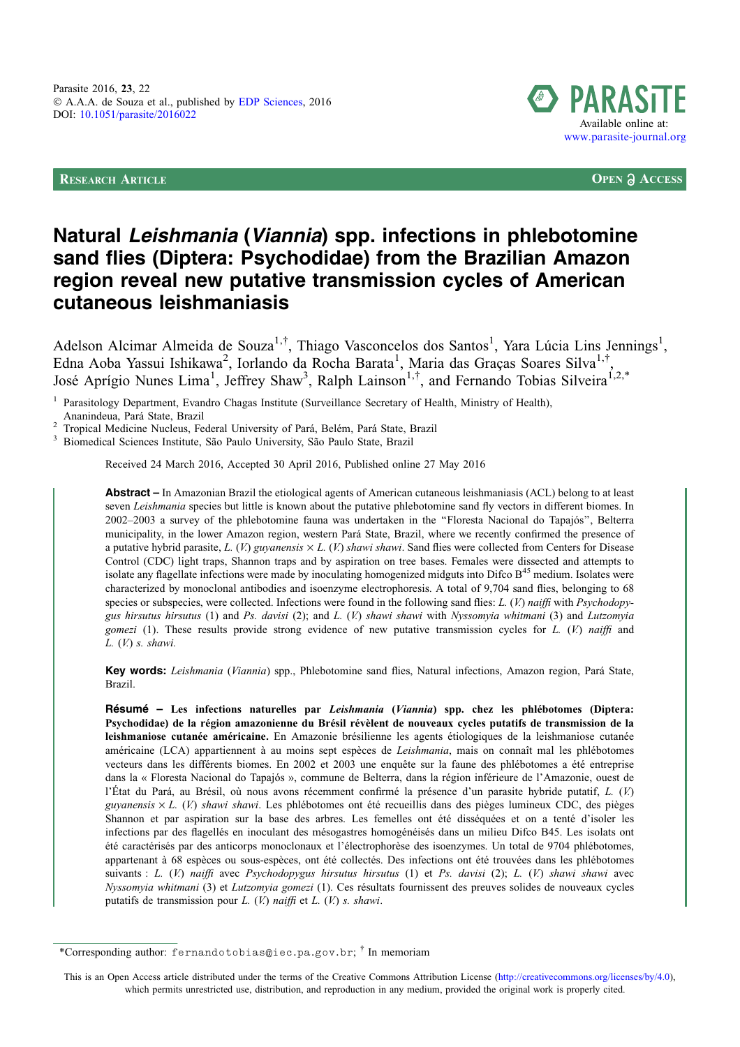RESEARCH ARTICLE **OPEN ACCESS**



# Natural Leishmania (Viannia) spp. infections in phlebotomine sand flies (Diptera: Psychodidae) from the Brazilian Amazon region reveal new putative transmission cycles of American cutaneous leishmaniasis

Adelson Alcimar Almeida de Souza<sup>1,†</sup>, Thiago Vasconcelos dos Santos<sup>1</sup>, Yara Lúcia Lins Jennings<sup>1</sup>, Edna Aoba Yassui Ishikawa<sup>2</sup>, Iorlando da Rocha Barata<sup>1</sup>, Maria das Graças Soares Silva<sup>1,†</sup>, José Aprígio Nunes Lima<sup>1</sup>, Jeffrey Shaw<sup>3</sup>, Ralph Lainson<sup>1,†</sup>, and Fernando Tobias Silveira<sup>1,2,\*</sup>

Parasitology Department, Evandro Chagas Institute (Surveillance Secretary of Health, Ministry of Health), Ananindeua. Pará State. Brazil

<sup>2</sup> Tropical Medicine Nucleus, Federal University of Pará, Belém, Pará State, Brazil 3 Biomedical Sciences Institute, São Paulo University, São Paulo State, Brazil

Received 24 March 2016, Accepted 30 April 2016, Published online 27 May 2016

Abstract – In Amazonian Brazil the etiological agents of American cutaneous leishmaniasis (ACL) belong to at least seven Leishmania species but little is known about the putative phlebotomine sand fly vectors in different biomes. In 2002–2003 a survey of the phlebotomine fauna was undertaken in the ''Floresta Nacional do Tapajós'', Belterra municipality, in the lower Amazon region, western Pará State, Brazil, where we recently confirmed the presence of a putative hybrid parasite, L. (V.) guyanensis  $\times$  L. (V.) shawi shawi. Sand flies were collected from Centers for Disease Control (CDC) light traps, Shannon traps and by aspiration on tree bases. Females were dissected and attempts to isolate any flagellate infections were made by inoculating homogenized midguts into Difco  $B<sup>45</sup>$  medium. Isolates were characterized by monoclonal antibodies and isoenzyme electrophoresis. A total of 9,704 sand flies, belonging to 68 species or subspecies, were collected. Infections were found in the following sand flies:  $L$ . (V.) naiffi with *Psychodopy*gus hirsutus hirsutus (1) and Ps. davisi (2); and L. (V.) shawi shawi with Nyssomyia whitmani (3) and Lutzomyia gomezi (1). These results provide strong evidence of new putative transmission cycles for  $L$ . (V) naiffi and  $L.$  (V.) s. shawi.

Key words: Leishmania (Viannia) spp., Phlebotomine sand flies, Natural infections, Amazon region, Pará State, Brazil.

Résumé – Les infections naturelles par Leishmania (Viannia) spp. chez les phlébotomes (Diptera: Psychodidae) de la région amazonienne du Brésil révèlent de nouveaux cycles putatifs de transmission de la leishmaniose cutanée américaine. En Amazonie brésilienne les agents étiologiques de la leishmaniose cutanée américaine (LCA) appartiennent à au moins sept espèces de Leishmania, mais on connaît mal les phlébotomes vecteurs dans les différents biomes. En 2002 et 2003 une enquête sur la faune des phlébotomes a été entreprise dans la « Floresta Nacional do Tapajós », commune de Belterra, dans la région inférieure de l'Amazonie, ouest de l'État du Pará, au Brésil, où nous avons récemment confirmé la présence d'un parasite hybride putatif, L. (V.) guyanensis  $\times$  L. (V) shawi shawi. Les phlébotomes ont été recueillis dans des pièges lumineux CDC, des pièges Shannon et par aspiration sur la base des arbres. Les femelles ont été disséquées et on a tenté d'isoler les infections par des flagellés en inoculant des mésogastres homogénéisés dans un milieu Difco B45. Les isolats ont été caractérisés par des anticorps monoclonaux et l'électrophorèse des isoenzymes. Un total de 9704 phlébotomes, appartenant à 68 espèces ou sous-espèces, ont été collectés. Des infections ont été trouvées dans les phlébotomes suivants : L. (V.) naiffi avec Psychodopygus hirsutus hirsutus (1) et Ps. davisi (2); L. (V.) shawi shawi avec Nyssomyia whitmani (3) et Lutzomyia gomezi (1). Ces résultats fournissent des preuves solides de nouveaux cycles putatifs de transmission pour  $L$ . (V.) naiffi et  $L$ . (V.) s. shawi.

<sup>\*</sup>Corresponding author: fernandotobias@iec.pa.gov.br; <sup>†</sup> In memoriam

This is an Open Access article distributed under the terms of the Creative Commons Attribution License [\(http://creativecommons.org/licenses/by/4.0\)](http://creativecommons.org/licenses/by/4.0/), which permits unrestricted use, distribution, and reproduction in any medium, provided the original work is properly cited.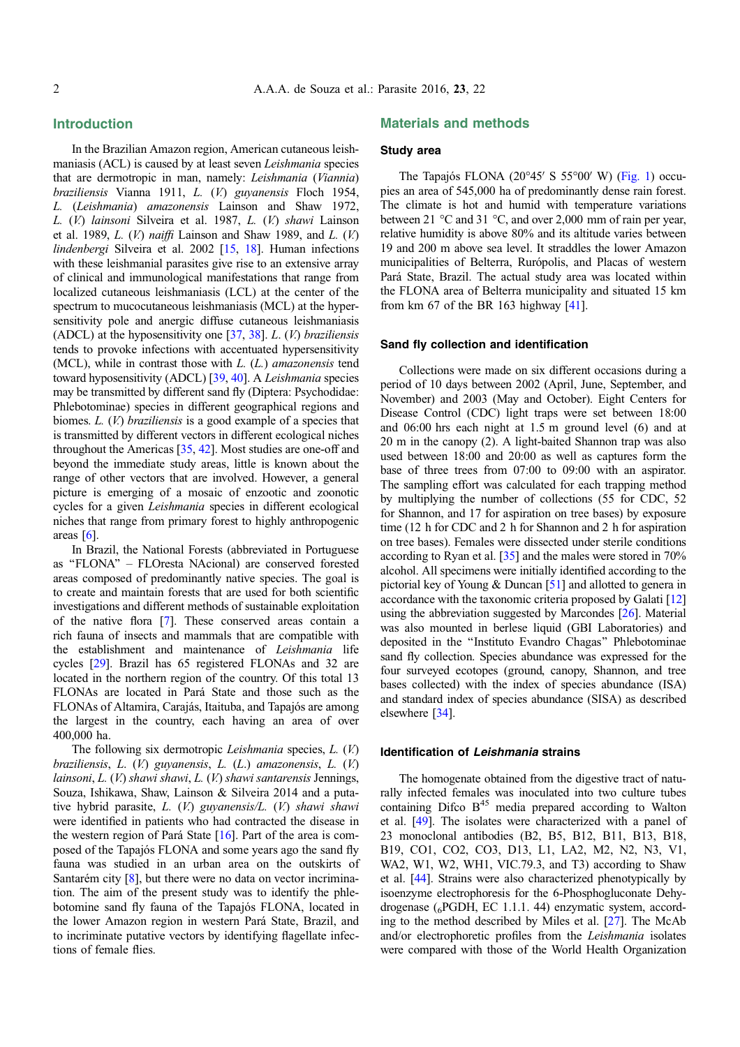# Introduction

In the Brazilian Amazon region, American cutaneous leishmaniasis (ACL) is caused by at least seven Leishmania species that are dermotropic in man, namely: Leishmania (Viannia) braziliensis Vianna 1911, L. (V.) guyanensis Floch 1954, L. (Leishmania) amazonensis Lainson and Shaw 1972, L. (V.) lainsoni Silveira et al. 1987, L. (V.) shawi Lainson et al. 1989,  $L$ . (V.) naiffi Lainson and Shaw 1989, and  $L$ . (V.) lindenbergi Silveira et al. 2002 [\[15](#page-7-0), [18\]](#page-7-0). Human infections with these leishmanial parasites give rise to an extensive array of clinical and immunological manifestations that range from localized cutaneous leishmaniasis (LCL) at the center of the spectrum to mucocutaneous leishmaniasis (MCL) at the hypersensitivity pole and anergic diffuse cutaneous leishmaniasis (ADCL) at the hyposensitivity one  $[37, 38]$  $[37, 38]$  $[37, 38]$  $[37, 38]$ . L. (V.) braziliensis tends to provoke infections with accentuated hypersensitivity (MCL), while in contrast those with  $L$ .  $(L)$  amazonensis tend toward hyposensitivity (ADCL) [[39](#page-8-0), [40\]](#page-8-0). A Leishmania species may be transmitted by different sand fly (Diptera: Psychodidae: Phlebotominae) species in different geographical regions and biomes. L. (V.) braziliensis is a good example of a species that is transmitted by different vectors in different ecological niches throughout the Americas [[35](#page-8-0), [42\]](#page-8-0). Most studies are one-off and beyond the immediate study areas, little is known about the range of other vectors that are involved. However, a general picture is emerging of a mosaic of enzootic and zoonotic cycles for a given Leishmania species in different ecological niches that range from primary forest to highly anthropogenic areas  $[6]$ .

In Brazil, the National Forests (abbreviated in Portuguese as ''FLONA'' – FLOresta NAcional) are conserved forested areas composed of predominantly native species. The goal is to create and maintain forests that are used for both scientific investigations and different methods of sustainable exploitation of the native flora [\[7](#page-7-0)]. These conserved areas contain a rich fauna of insects and mammals that are compatible with the establishment and maintenance of Leishmania life cycles [\[29\]](#page-7-0). Brazil has 65 registered FLONAs and 32 are located in the northern region of the country. Of this total 13 FLONAs are located in Pará State and those such as the FLONAs of Altamira, Carajás, Itaituba, and Tapajós are among the largest in the country, each having an area of over 400,000 ha.

The following six dermotropic Leishmania species, L. (V.) braziliensis, L. (V.) guyanensis, L. (L.) amazonensis, L. (V.) lainsoni, L. (V.) shawi shawi, L. (V.) shawi santarensis Jennings, Souza, Ishikawa, Shaw, Lainson & Silveira 2014 and a putative hybrid parasite, L. (V.) guyanensis/L. (V.) shawi shawi were identified in patients who had contracted the disease in the western region of Pará State  $[16]$  $[16]$ . Part of the area is composed of the Tapajós FLONA and some years ago the sand fly fauna was studied in an urban area on the outskirts of Santarém city [\[8](#page-7-0)], but there were no data on vector incrimination. The aim of the present study was to identify the phlebotomine sand fly fauna of the Tapajós FLONA, located in the lower Amazon region in western Pará State, Brazil, and to incriminate putative vectors by identifying flagellate infections of female flies.

## Materials and methods

## Study area

The Tapajós FLONA (20 $\degree$ 45' S 55 $\degree$ 00' W) ([Fig. 1](#page-2-0)) occupies an area of 545,000 ha of predominantly dense rain forest. The climate is hot and humid with temperature variations between 21  $\degree$ C and 31  $\degree$ C, and over 2,000 mm of rain per year, relative humidity is above 80% and its altitude varies between 19 and 200 m above sea level. It straddles the lower Amazon municipalities of Belterra, Rurópolis, and Placas of western Pará State, Brazil. The actual study area was located within the FLONA area of Belterra municipality and situated 15 km from km 67 of the BR 163 highway [\[41\]](#page-8-0).

#### Sand fly collection and identification

Collections were made on six different occasions during a period of 10 days between 2002 (April, June, September, and November) and 2003 (May and October). Eight Centers for Disease Control (CDC) light traps were set between 18:00 and 06:00 hrs each night at 1.5 m ground level (6) and at 20 m in the canopy (2). A light-baited Shannon trap was also used between 18:00 and 20:00 as well as captures form the base of three trees from 07:00 to 09:00 with an aspirator. The sampling effort was calculated for each trapping method by multiplying the number of collections (55 for CDC, 52 for Shannon, and 17 for aspiration on tree bases) by exposure time (12 h for CDC and 2 h for Shannon and 2 h for aspiration on tree bases). Females were dissected under sterile conditions according to Ryan et al. [\[35\]](#page-8-0) and the males were stored in 70% alcohol. All specimens were initially identified according to the pictorial key of Young & Duncan [\[51\]](#page-9-0) and allotted to genera in accordance with the taxonomic criteria proposed by Galati [\[12\]](#page-7-0) using the abbreviation suggested by Marcondes [[26](#page-8-0)]. Material was also mounted in berlese liquid (GBI Laboratories) and deposited in the ''Instituto Evandro Chagas'' Phlebotominae sand fly collection. Species abundance was expressed for the four surveyed ecotopes (ground, canopy, Shannon, and tree bases collected) with the index of species abundance (ISA) and standard index of species abundance (SISA) as described elsewhere [[34](#page-8-0)].

#### Identification of Leishmania strains

The homogenate obtained from the digestive tract of naturally infected females was inoculated into two culture tubes containing Difco  $B<sup>45</sup>$  media prepared according to Walton et al. [\[49](#page-9-0)]. The isolates were characterized with a panel of 23 monoclonal antibodies (B2, B5, B12, B11, B13, B18, B19, CO1, CO2, CO3, D13, L1, LA2, M2, N2, N3, V1, WA2, W1, W2, WH1, VIC.79.3, and T3) according to Shaw et al. [\[44\]](#page-8-0). Strains were also characterized phenotypically by isoenzyme electrophoresis for the 6-Phosphogluconate Dehydrogenase (6PGDH, EC 1.1.1. 44) enzymatic system, according to the method described by Miles et al. [\[27\]](#page-8-0). The McAb and/or electrophoretic profiles from the Leishmania isolates were compared with those of the World Health Organization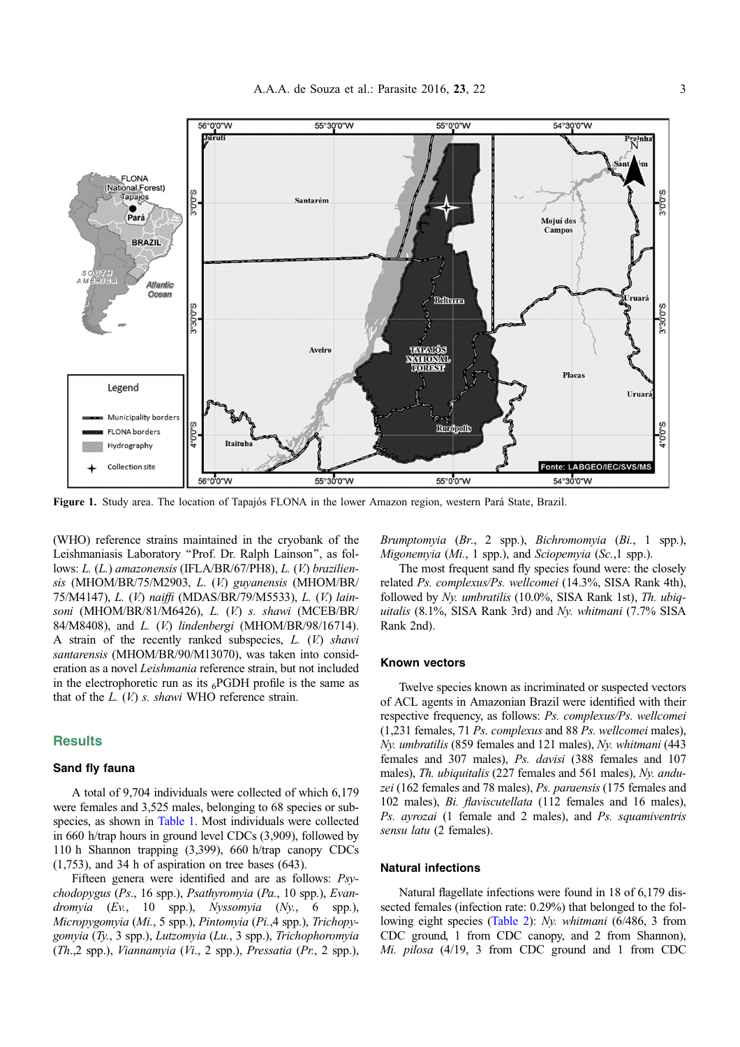<span id="page-2-0"></span>

Figure 1. Study area. The location of Tapajós FLONA in the lower Amazon region, western Pará State, Brazil.

(WHO) reference strains maintained in the cryobank of the Leishmaniasis Laboratory ''Prof. Dr. Ralph Lainson'', as follows: L. (L.) amazonensis (IFLA/BR/67/PH8), L. (V.) braziliensis (MHOM/BR/75/M2903, L. (V.) guyanensis (MHOM/BR/ 75/M4147), L. (V.) naiffi (MDAS/BR/79/M5533), L. (V.) lainsoni (MHOM/BR/81/M6426), L. (V.) s. shawi (MCEB/BR/ 84/M8408), and L. (V.) lindenbergi (MHOM/BR/98/16714). A strain of the recently ranked subspecies,  $L$ .  $(V)$  shawi santarensis (MHOM/BR/90/M13070), was taken into consideration as a novel Leishmania reference strain, but not included in the electrophoretic run as its  $_6$ PGDH profile is the same as that of the  $L$ .  $(V)$  s. shawi WHO reference strain.

### **Results**

#### Sand fly fauna

A total of 9,704 individuals were collected of which 6,179 were females and 3,525 males, belonging to 68 species or subspecies, as shown in [Table 1.](#page-3-0) Most individuals were collected in 660 h/trap hours in ground level CDCs (3,909), followed by 110 h Shannon trapping (3,399), 660 h/trap canopy CDCs (1,753), and 34 h of aspiration on tree bases (643).

Fifteen genera were identified and are as follows: Psychodopygus (Ps., 16 spp.), Psathyromyia (Pa., 10 spp.), Evandromyia (Ev., 10 spp.), Nyssomyia (Ny., 6 spp.), Micropygomyia (Mi., 5 spp.), Pintomyia (Pi.,4 spp.), Trichopygomyia (Ty., 3 spp.), Lutzomyia (Lu., 3 spp.), Trichophoromyia (Th.,2 spp.), Viannamyia (Vi., 2 spp.), Pressatia (Pr., 2 spp.), Brumptomyia (Br., 2 spp.), Bichromomyia (Bi., 1 spp.),  $Migonemvia$  (Mi., 1 spp.), and Sciopemyia (Sc., 1 spp.).

The most frequent sand fly species found were: the closely related Ps. complexus/Ps. wellcomei (14.3%, SISA Rank 4th), followed by Ny. umbratilis (10.0%, SISA Rank 1st), Th. ubiquitalis (8.1%, SISA Rank 3rd) and Ny. whitmani (7.7% SISA Rank 2nd).

#### Known vectors

Twelve species known as incriminated or suspected vectors of ACL agents in Amazonian Brazil were identified with their respective frequency, as follows: Ps. complexus/Ps. wellcomei (1,231 females, 71 Ps. complexus and 88 Ps. wellcomei males), Ny. umbratilis (859 females and 121 males), Ny. whitmani (443 females and 307 males), Ps. davisi (388 females and 107 males), Th. ubiquitalis (227 females and 561 males), Ny. anduzei (162 females and 78 males), Ps. paraensis (175 females and 102 males), Bi. flaviscutellata (112 females and 16 males), Ps. ayrozai (1 female and 2 males), and Ps. squamiventris sensu latu (2 females).

#### Natural infections

Natural flagellate infections were found in 18 of 6,179 dissected females (infection rate: 0.29%) that belonged to the following eight species ([Table 2\)](#page-4-0): Ny. whitmani (6/486, 3 from CDC ground, 1 from CDC canopy, and 2 from Shannon), Mi. pilosa (4/19, 3 from CDC ground and 1 from CDC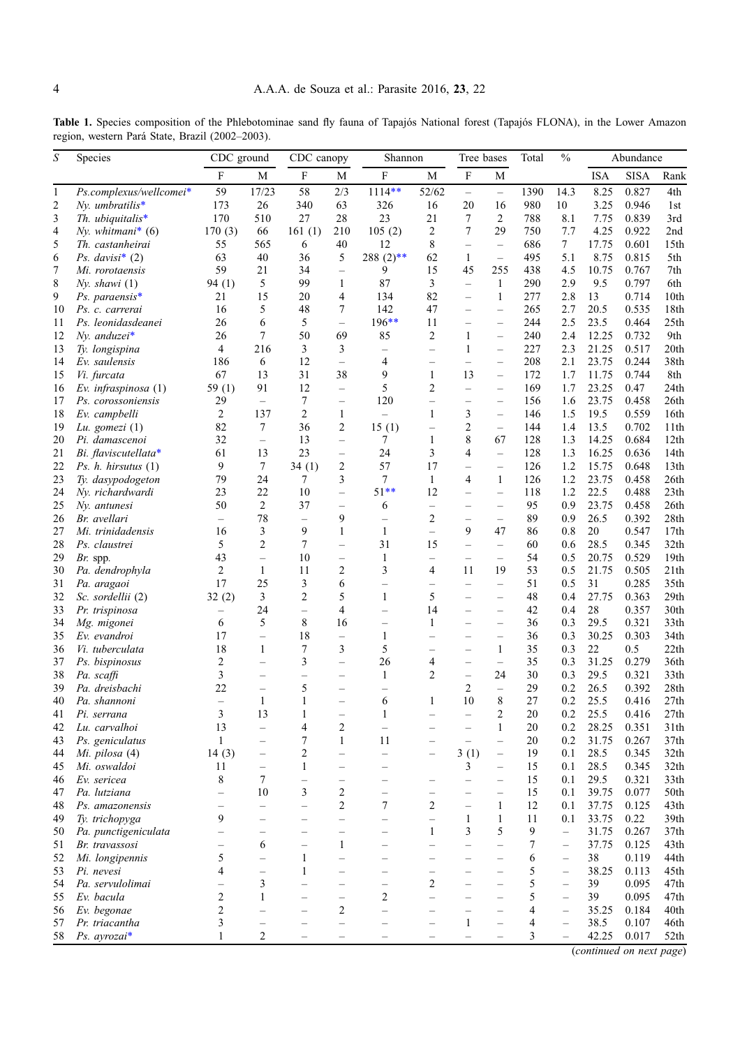<span id="page-3-0"></span>Table 1. Species composition of the Phlebotominae sand fly fauna of Tapajós National forest (Tapajós FLONA), in the Lower Amazon region, western Pará State, Brazil (2002–2003).

| S            | Species                        | CDC ground               |                                          | CDC canopy               |                          | Shannon                  |                                            | Tree bases               |                                                      | Total    | $\frac{0}{0}$            | Abundance   |                |              |
|--------------|--------------------------------|--------------------------|------------------------------------------|--------------------------|--------------------------|--------------------------|--------------------------------------------|--------------------------|------------------------------------------------------|----------|--------------------------|-------------|----------------|--------------|
|              |                                | F                        | M                                        | F                        | М                        | F                        | M                                          | $\rm F$                  | $\mathbf M$                                          |          |                          | <b>ISA</b>  | <b>SISA</b>    | Rank         |
| $\mathbf{1}$ | Ps.complexus/wellcomei*        | 59                       | 17/23                                    | 58                       | 2/3                      | $1114**$                 | 52/62                                      | $\overline{\phantom{0}}$ | $\overline{\phantom{0}}$                             | 1390     | 14.3                     | 8.25        | 0.827          | 4th          |
| 2            | $Nv$ . umbratilis*             | 173                      | 26                                       | 340                      | 63                       | 326                      | 16                                         | 20                       | 16                                                   | 980      | 10                       | 3.25        | 0.946          | 1st          |
| 3            | Th. ubiquitalis $*$            | 170                      | 510                                      | 27                       | 28                       | 23                       | 21                                         | 7                        | $\overline{2}$                                       | 788      | 8.1                      | 7.75        | 0.839          | 3rd          |
| 4            | Ny. whitmani* $(6)$            | 170(3)                   | 66                                       | 161(1)                   | 210                      | 105(2)                   | $\overline{2}$                             | 7                        | 29                                                   | 750      | 7.7                      | 4.25        | 0.922          | 2nd          |
| 5            | Th. castanheirai               | 55                       | 565                                      | 6                        | 40                       | 12                       | 8                                          | $\qquad \qquad -$        | $\overline{\phantom{0}}$                             | 686      | $7\phantom{.0}$          | 17.75       | 0.601          | 15th         |
| 6            | Ps. davisi* $(2)$              | 63                       | 40                                       | 36                       | 5                        | $288(2)$ **              | 62                                         | $\mathbf{1}$             | $\qquad \qquad -$                                    | 495      | 5.1                      | 8.75        | 0.815          | 5th          |
| 7            | Mi. rorotaensis                | 59                       | 21                                       | 34                       | $\overline{\phantom{0}}$ | 9                        | 15                                         | 45                       | 255                                                  | 438      | 4.5                      | 10.75       | 0.767          | 7th          |
| 8            | Nv. shawi (1)                  | 94(1)                    | 5                                        | 99                       | $\mathbf{1}$             | 87                       | 3                                          | $\overline{\phantom{0}}$ | $\mathbf{1}$                                         | 290      | 2.9                      | 9.5         | 0.797          | 6th          |
| 9            | $Ps.$ paraensis*               | 21                       | 15                                       | 20                       | 4                        | 134                      | 82                                         | $\overline{\phantom{0}}$ | $\mathbf{1}$                                         | 277      | 2.8                      | 13          | 0.714          | 10th         |
| 10           | Ps. c. carrerai                | 16                       | 5                                        | 48                       | 7                        | 142                      | 47                                         | $\overline{\phantom{0}}$ | $\overline{\phantom{0}}$                             | 265      | 2.7                      | 20.5        | 0.535          | 18th         |
| 11           | Ps. leonidasdeanei             | 26                       | 6                                        | 5                        | $\qquad \qquad -$        | 196**                    | 11                                         | $\overline{\phantom{0}}$ | $\overline{\phantom{0}}$                             | 244      | 2.5                      | 23.5        | 0.464          | 25th         |
| 12           | $Nv$ . anduzei*                | 26                       | $\tau$                                   | 50                       | 69                       | 85                       | $\overline{2}$                             | $\mathbf{1}$             | $\overline{\phantom{0}}$                             | 240      | 2.4                      | 12.25       | 0.732          | 9th          |
| 13           | Ty. longispina                 | 4                        | 216                                      | 3                        | 3                        | $\overline{\phantom{0}}$ | $\equiv$                                   | $\mathbf{1}$             | $\overline{\phantom{0}}$                             | 227      | 2.3                      | 21.25       | 0.517          | 20th         |
| 14           | Ev. saulensis                  | 186                      | 6                                        | 12                       | $\equiv$                 | 4                        |                                            | $\overline{\phantom{0}}$ |                                                      | 208      | 2.1                      | 23.75       | 0.244          | 38th         |
| 15           | Vi. furcata                    | 67                       | 13                                       | 31                       | 38                       | 9                        | $\mathbf{1}$                               | 13                       | $\overline{\phantom{0}}$                             | 172      | 1.7                      | 11.75       | 0.744          | 8th          |
| 16           | Ev. infraspinosa $(1)$         | 59 $(1)$                 | 91                                       | 12                       | $\qquad \qquad -$        | 5                        | $\overline{2}$                             | $\overline{\phantom{0}}$ | $\overline{\phantom{0}}$                             | 169      | 1.7                      | 23.25       | 0.47           | 24th         |
| 17           | Ps. corossoniensis             | 29                       | $-$                                      | 7                        | $\qquad \qquad -$        | 120                      | $\overline{\phantom{0}}$                   | $\overline{\phantom{0}}$ | $\overline{\phantom{0}}$                             | 156      | 1.6                      | 23.75       | 0.458          | 26th         |
| 18           | Ev. campbelli                  | 2                        | 137                                      | 2                        | $\mathbf{1}$             | $\overline{a}$           | 1                                          | 3                        | $\overline{\phantom{0}}$                             | 146      | 1.5                      | 19.5        | 0.559          | 16th         |
| 19           | Lu. gomezi $(1)$               | 82                       | 7                                        | 36                       | 2                        | 15(1)                    | $\overline{\phantom{0}}$                   | $\overline{c}$           | $\qquad \qquad -$                                    | 144      | 1.4                      | 13.5        | 0.702          | 11th         |
| 20           | Pi. damascenoi                 | 32                       | $\equiv$                                 | 13                       | $\overline{\phantom{0}}$ | 7                        | 1                                          | 8                        | 67                                                   | 128      | 1.3                      | 14.25       | 0.684          | 12th         |
| 21           | Bi. flaviscutellata*           | 61                       | 13                                       | 23                       | $\overline{\phantom{0}}$ | 24                       | 3                                          | 4                        | $\overline{\phantom{0}}$                             | 128      | 1.3                      | 16.25       | 0.636          | 14th         |
| 22           | Ps. $h.$ hirsutus $(1)$        | 9                        | $7\phantom{.0}$                          | 34(1)                    | 2                        | 57                       | 17                                         | $\overline{\phantom{0}}$ | $\overline{\phantom{0}}$                             | 126      | 1.2                      | 15.75       | 0.648          | 13th         |
| 23           | Ty. dasypodogeton              | 79                       | 24                                       | 7                        | 3                        | 7                        | $\mathbf{1}$                               | 4                        | $\mathbf{1}$                                         | 126      | 1.2                      | 23.75       | 0.458          | 26th         |
| 24           | Nv. richardwardi               | 23                       | 22                                       | 10                       | $\qquad \qquad -$        | $51**$                   | 12                                         | $\overline{\phantom{0}}$ | $\qquad \qquad -$                                    | 118      | 1.2                      | 22.5        | 0.488          | 23th         |
| 25           | Nv. antunesi                   | 50                       | 2                                        | 37                       | $\qquad \qquad -$        | 6                        | $\qquad \qquad -$                          | $\overline{\phantom{0}}$ | $\overline{\phantom{0}}$                             | 95       | 0.9                      | 23.75       | 0.458          | 26th         |
| 26           | Br. avellari                   | $\qquad \qquad -$        | 78                                       | $\overline{\phantom{0}}$ | 9                        | $\overline{\phantom{0}}$ | 2                                          | $\overline{\phantom{0}}$ | $\qquad \qquad -$                                    | 89       | 0.9                      | 26.5        | 0.392          | 28th         |
| 27           | Mi. trinidadensis              | 16                       | 3                                        | 9<br>7                   | $\mathbf{1}$             | $\mathbf{1}$             | $\equiv$                                   | 9                        | 47                                                   | 86       | 0.8                      | 20          | 0.547          | 17th         |
| 28           | Ps. claustrei                  | 5                        | $\overline{2}$                           |                          | $\overline{\phantom{0}}$ | 31                       | 15                                         | $\overline{\phantom{0}}$ | $\qquad \qquad -$                                    | 60       | 0.6                      | 28.5        | 0.345          | 32th         |
| 29           | $Br.$ spp.                     | 43<br>2                  | $\overline{\phantom{0}}$<br>$\mathbf{1}$ | 10<br>11                 | $\qquad \qquad -$<br>2   | $\mathbf{1}$<br>3        | $\overline{\phantom{0}}$<br>$\overline{4}$ | 11                       | $\qquad \qquad -$<br>19                              | 54       | 0.5                      | 20.75       | 0.529          | 19th<br>21th |
| 30<br>31     | Pa. dendrophyla<br>Pa. aragaoi | 17                       | 25                                       | 3                        | 6                        | $\overline{\phantom{0}}$ |                                            | $\overline{\phantom{0}}$ |                                                      | 53<br>51 | 0.5<br>0.5               | 21.75<br>31 | 0.505<br>0.285 | 35th         |
| 32           | Sc. sordellii (2)              | 32(2)                    | 3                                        | 2                        | 5                        | $\mathbf{1}$             | $\qquad \qquad -$<br>5                     | $\overline{\phantom{0}}$ | $\overline{\phantom{0}}$<br>$\overline{\phantom{0}}$ | 48       | 0.4                      | 27.75       | 0.363          | 29th         |
| 33           | Pr. trispinosa                 | $\overline{\phantom{m}}$ | 24                                       | $\equiv$                 | 4                        | $\overline{\phantom{0}}$ | 14                                         |                          | $\overline{\phantom{0}}$                             | 42       | 0.4                      | 28          | 0.357          | 30th         |
| 34           | Mg. migonei                    | 6                        | 5                                        | 8                        | 16                       | $\overline{\phantom{0}}$ | 1                                          | $\overline{\phantom{0}}$ | $\overline{\phantom{0}}$                             | 36       | 0.3                      | 29.5        | 0.321          | 33th         |
| 35           | Ev. evandroi                   | 17                       | $\overline{\phantom{0}}$                 | 18                       | $\qquad \qquad -$        | $\mathbf{1}$             |                                            |                          |                                                      | 36       | 0.3                      | 30.25       | 0.303          | 34th         |
| 36           | Vi. tuberculata                | 18                       | 1                                        | 7                        | 3                        | 5                        | $\overline{\phantom{0}}$                   | $\overline{\phantom{0}}$ | $\mathbf{1}$                                         | 35       | 0.3                      | 22          | 0.5            | 22th         |
| 37           | Ps. bispinosus                 | $\overline{c}$           | $\overline{\phantom{0}}$                 | 3                        | $\overline{\phantom{0}}$ | 26                       | 4                                          | $\overline{\phantom{0}}$ | $\qquad \qquad -$                                    | 35       | 0.3                      | 31.25       | 0.279          | 36th         |
| 38           | Pa. scaffi                     | 3                        |                                          | $\overline{\phantom{0}}$ | $\overline{\phantom{0}}$ | $\mathbf{1}$             | $\overline{2}$                             | $\overline{\phantom{0}}$ | 24                                                   | 30       | 0.3                      | 29.5        | 0.321          | 33th         |
| 39           | Pa. dreisbachi                 | 22                       | $\overline{\phantom{0}}$                 | 5                        | $\overline{\phantom{0}}$ | $\overline{\phantom{0}}$ |                                            | 2                        | $\overline{\phantom{0}}$                             | 29       | 0.2                      | 26.5        | 0.392          | 28th         |
| 40           | Pa. shannoni                   | $\overline{\phantom{0}}$ | 1                                        | $\mathbf{1}$             | $\overline{\phantom{0}}$ | 6                        | 1                                          | 10                       | 8                                                    | 27       | 0.2                      | 25.5        | 0.416          | 27th         |
| 41           | Pi. serrana                    | 3                        | 13                                       | 1                        | $\overline{\phantom{0}}$ | 1                        |                                            |                          | 2                                                    | 20       | 0.2                      | 25.5        | 0.416          | 27th         |
| 42           | Lu. carvalhoi                  | 13                       | $\overline{\phantom{0}}$                 | 4                        | $\overline{c}$           | $\overline{\phantom{0}}$ |                                            |                          | $\mathbf{1}$                                         | 20       | 0.2                      | 28.25       | 0.351          | 31th         |
| 43           | Ps. geniculatus                | $\mathbf{1}$             |                                          | 7                        | $\mathbf{1}$             | 11                       |                                            |                          |                                                      | 20       | 0.2                      | 31.75       | 0.267          | 37th         |
| 44           | Mi. pilosa (4)                 | 14(3)                    | $\overline{\phantom{0}}$                 | 2                        | $\overline{\phantom{0}}$ | $\equiv$                 | $\overline{\phantom{0}}$                   | 3(1)                     | $\overline{\phantom{0}}$                             | 19       | 0.1                      | 28.5        | 0.345          | 32th         |
| 45           | Mi. oswaldoi                   | 11                       | $\overline{\phantom{0}}$                 | $\mathbf{1}$             | $\equiv$                 |                          |                                            | 3                        | $\overline{\phantom{0}}$                             | 15       | 0.1                      | 28.5        | 0.345          | 32th         |
| 46           | Ev. sericea                    | 8                        | $\overline{7}$                           | $\overline{\phantom{0}}$ | $\overline{\phantom{0}}$ | $\overline{\phantom{0}}$ |                                            |                          | $\overline{\phantom{0}}$                             | 15       | 0.1                      | 29.5        | 0.321          | 33th         |
| 47           | Pa. lutziana                   | $\overline{\phantom{0}}$ | 10                                       | 3                        | $\overline{c}$           | $\overline{\phantom{0}}$ |                                            |                          | $\overline{\phantom{0}}$                             | 15       | 0.1                      | 39.75       | 0.077          | 50th         |
| 48           | Ps. amazonensis                |                          | $\overline{a}$                           | $\overline{a}$           | $\overline{c}$           | 7                        | $\overline{c}$                             | $\overline{a}$           | $\mathbf{1}$                                         | 12       | 0.1                      | 37.75       | 0.125          | 43th         |
| 49           | Ty. trichopyga                 | 9                        | $\overline{\phantom{0}}$                 |                          | $\overline{a}$           | $\overline{\phantom{0}}$ | $\overline{\phantom{0}}$                   | $\mathbf{1}$             | $\mathbf{1}$                                         | 11       | 0.1                      | 33.75       | 0.22           | 39th         |
| 50           | Pa. punctigeniculata           |                          |                                          | $\overline{\phantom{0}}$ |                          | $\overline{\phantom{0}}$ | $\mathbf{1}$                               | 3                        | 5                                                    | 9        | $\overline{\phantom{0}}$ | 31.75       | 0.267          | 37th         |
| 51           | Br. travassosi                 | $\overline{\phantom{0}}$ | 6                                        | $\overline{\phantom{0}}$ | $\mathbf{1}$             | $\overline{\phantom{0}}$ |                                            | $\overline{\phantom{0}}$ | $\overline{\phantom{0}}$                             | 7        | $\overline{\phantom{0}}$ | 37.75       | 0.125          | 43th         |
| 52           | Mi. longipennis                | 5                        | $\overline{a}$                           | $\mathbf{1}$             | $\equiv$                 | $\overline{\phantom{0}}$ |                                            |                          |                                                      | 6        | $\overline{\phantom{0}}$ | 38          | 0.119          | 44th         |
| 53           | Pi. nevesi                     | $\overline{4}$           | $\overline{\phantom{0}}$                 | $\mathbf{1}$             | $\overline{\phantom{0}}$ | $\overline{\phantom{0}}$ |                                            |                          | $\overline{\phantom{0}}$                             | 5        | $\overline{\phantom{0}}$ | 38.25       | 0.113          | 45th         |
| 54           | Pa. servulolimai               |                          | $\mathfrak{Z}$                           | $\overline{\phantom{0}}$ | $\overline{\phantom{0}}$ | $\overline{\phantom{0}}$ | $\overline{2}$                             |                          |                                                      | 5        | $\overline{\phantom{0}}$ | 39          | 0.095          | 47th         |
| 55           | Ev. bacula                     | $\overline{c}$           | $\mathbf{1}$                             | $\overline{\phantom{0}}$ | $\overline{\phantom{0}}$ | 2                        |                                            |                          |                                                      | 5        | $\overline{\phantom{0}}$ | 39          | 0.095          | 47th         |
| 56           | Ev. begonae                    | $\overline{c}$           |                                          | $\overline{\phantom{0}}$ | 2                        | $\overline{\phantom{0}}$ |                                            |                          |                                                      | 4        | $\overline{\phantom{0}}$ | 35.25       | 0.184          | 40th         |
| 57           | Pr. triacantha                 | 3                        |                                          |                          | $\overline{\phantom{0}}$ |                          |                                            | $\mathbf{1}$             |                                                      | 4        | $\overline{\phantom{0}}$ | 38.5        | 0.107          | 46th         |
| 58           | Ps. $ayrozai*$                 | 1                        | $\overline{2}$                           |                          |                          |                          |                                            |                          |                                                      | 3        | $\overline{\phantom{0}}$ | 42.25       | 0.017          | 52th         |

(continued on next page)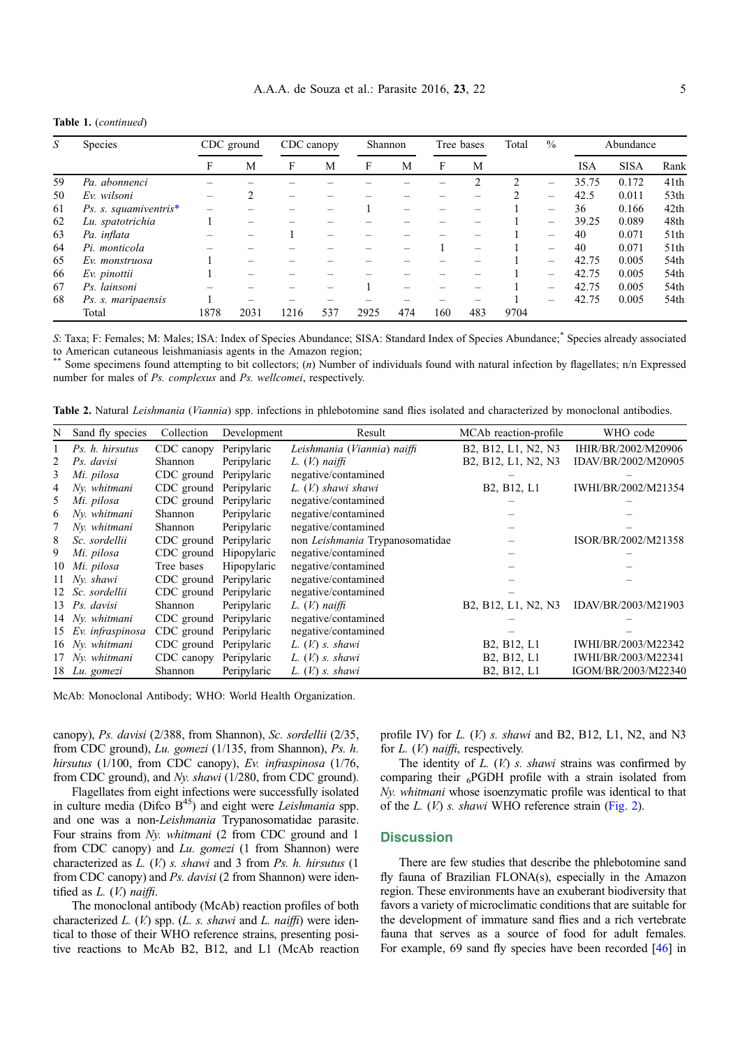| S  | Species               | CDC ground |                                | CDC canopy |     | Shannon |     | Tree bases |     | Total          | $\frac{0}{0}$            | Abundance  |             |                  |
|----|-----------------------|------------|--------------------------------|------------|-----|---------|-----|------------|-----|----------------|--------------------------|------------|-------------|------------------|
|    |                       | F          | M                              | F          | M   | F       | М   | F          | М   |                |                          | <b>ISA</b> | <b>SISA</b> | Rank             |
| 59 | Pa. abonnenci         |            |                                |            |     |         |     |            | 2   | $\mathfrak{D}$ |                          | 35.75      | 0.172       | 41 <sup>th</sup> |
| 50 | Ev. wilsoni           |            |                                |            |     |         |     |            |     |                |                          | 42.5       | 0.011       | 53 <sub>th</sub> |
| 61 | Ps. s. squamiventris* |            |                                |            |     |         |     |            |     |                | $\overline{\phantom{m}}$ | 36         | 0.166       | 42th             |
| 62 | Lu. spatotrichia      |            |                                |            |     |         |     |            |     |                | $\overline{\phantom{m}}$ | 39.25      | 0.089       | 48th             |
| 63 | Pa. inflata           |            |                                |            |     |         |     |            |     |                | $\overline{\phantom{m}}$ | 40         | 0.071       | 51th             |
| 64 | Pi. monticola         |            |                                |            |     |         |     |            |     |                |                          | 40         | 0.071       | 51th             |
| 65 | Ev. monstruosa        |            |                                |            |     |         |     |            |     |                | $\overline{\phantom{m}}$ | 42.75      | 0.005       | 54th             |
| 66 | Ev. pinottii          |            | $\qquad \qquad \longleftarrow$ |            |     |         |     |            |     |                | $\overline{\phantom{m}}$ | 42.75      | 0.005       | 54th             |
| 67 | Ps. lainsoni          |            |                                |            |     |         |     |            |     |                | $\overline{\phantom{m}}$ | 42.75      | 0.005       | 54th             |
| 68 | Ps. s. maripaensis    |            |                                |            |     |         |     |            |     |                | $\overline{\phantom{m}}$ | 42.75      | 0.005       | 54th             |
|    | Total                 | 1878       | 2031                           | 1216       | 537 | 2925    | 474 | 160        | 483 | 9704           |                          |            |             |                  |

<span id="page-4-0"></span>Table 1. (continued)

S: Taxa; F: Females; M: Males; ISA: Index of Species Abundance; SISA: Standard Index of Species Abundance; \* Species already associated to American cutaneous leishmaniasis agents in the Amazon region;

Some specimens found attempting to bit collectors; (n) Number of individuals found with natural infection by flagellates; n/n Expressed number for males of Ps. complexus and Ps. wellcomei, respectively.

Table 2. Natural Leishmania (Viannia) spp. infections in phlebotomine sand flies isolated and characterized by monoclonal antibodies.

| N  | Sand fly species    | Collection | Development | Result                          | MCAb reaction-profile                             | WHO code            |
|----|---------------------|------------|-------------|---------------------------------|---------------------------------------------------|---------------------|
|    | Ps. h. hirsutus     | CDC canopy | Peripylaric | Leishmania (Viannia) naiffi     | B2, B12, L1, N2, N3                               | IHIR/BR/2002/M20906 |
|    | Ps. davisi          | Shannon    | Peripylaric | $L. (V.)$ naiffi                | B2, B12, L1, N2, N3                               | IDAV/BR/2002/M20905 |
| 3  | Mi. pilosa          | CDC ground | Peripylaric | negative/contamined             |                                                   |                     |
| 4  | Ny. whitmani        | CDC ground | Peripylaric | L. (V.) shawi shawi             | B2, B12, L1                                       | IWHI/BR/2002/M21354 |
| 5. | Mi. pilosa          | CDC ground | Peripylaric | negative/contamined             |                                                   |                     |
| 6  | Nv. whitmani        | Shannon    | Peripylaric | negative/contamined             |                                                   |                     |
|    | Nv. whitmani        | Shannon    | Peripylaric | negative/contamined             |                                                   |                     |
| 8  | Sc. sordellii       | CDC ground | Peripylaric | non Leishmania Trypanosomatidae |                                                   | ISOR/BR/2002/M21358 |
| 9  | Mi. pilosa          | CDC ground | Hipopylaric | negative/contamined             |                                                   |                     |
|    | 10 Mi. pilosa       | Tree bases | Hipopylaric | negative/contamined             |                                                   |                     |
|    | 11 Nv. shawi        | CDC ground | Peripylaric | negative/contamined             |                                                   |                     |
|    | 12 Sc. sordellii    | CDC ground | Peripylaric | negative/contamined             |                                                   |                     |
|    | 13 Ps. davisi       | Shannon    | Peripylaric | $L_{\cdot}(V_{\cdot})$ naiffi   | B2, B12, L1, N2, N3                               | IDAV/BR/2003/M21903 |
|    | 14 Nv. whitmani     | CDC ground | Peripylaric | negative/contamined             |                                                   |                     |
|    | 15 Ev. infraspinosa | CDC ground | Peripylaric | negative/contamined             |                                                   |                     |
|    | 16 Nv. whitmani     | CDC ground | Peripylaric | $L. (V)$ s. shawi               | B2, B12, L1                                       | IWHI/BR/2003/M22342 |
|    | 17 Ny. whitmani     | CDC canopy | Peripylaric | $L_{\cdot}(V)$ s. shawi         | B <sub>2</sub> , B <sub>12</sub> , L <sub>1</sub> | IWHI/BR/2003/M22341 |
|    | 18 Lu. gomezi       | Shannon    | Peripylaric | $L_{\cdot}(V)$ s. shawi         | B <sub>2</sub> , B <sub>12</sub> , L <sub>1</sub> | IGOM/BR/2003/M22340 |

McAb: Monoclonal Antibody; WHO: World Health Organization.

canopy), Ps. davisi (2/388, from Shannon), Sc. sordellii (2/35, from CDC ground), Lu. gomezi (1/135, from Shannon), Ps. h. hirsutus (1/100, from CDC canopy), Ev. infraspinosa (1/76, from CDC ground), and Ny. shawi (1/280, from CDC ground).

Flagellates from eight infections were successfully isolated in culture media (Difco  $B^{45}$ ) and eight were *Leishmania* spp. and one was a non-Leishmania Trypanosomatidae parasite. Four strains from Ny. whitmani (2 from CDC ground and 1 from CDC canopy) and Lu. gomezi (1 from Shannon) were characterized as  $L.$  (V.) s. shawi and 3 from  $Ps.$  h. hirsutus (1) from CDC canopy) and Ps. davisi (2 from Shannon) were identified as  $L.$  (V.) naiffi.

The monoclonal antibody (McAb) reaction profiles of both characterized  $L$ . (V.) spp. ( $L$ . s. shawi and  $L$ . naiffi) were identical to those of their WHO reference strains, presenting positive reactions to McAb B2, B12, and L1 (McAb reaction profile IV) for  $L$ .  $(V)$  s. shawi and B2, B12, L1, N2, and N3 for *L.* (*V.*) naiffi, respectively.

The identity of  $L$ .  $(V)$  s. shawi strains was confirmed by comparing their  $_{6}$ PGDH profile with a strain isolated from Ny. whitmani whose isoenzymatic profile was identical to that of the  $L$ . ( $V$ ) s. shawi WHO reference strain ([Fig. 2\)](#page-5-0).

## **Discussion**

There are few studies that describe the phlebotomine sand fly fauna of Brazilian FLONA(s), especially in the Amazon region. These environments have an exuberant biodiversity that favors a variety of microclimatic conditions that are suitable for the development of immature sand flies and a rich vertebrate fauna that serves as a source of food for adult females. For example, 69 sand fly species have been recorded [[46](#page-8-0)] in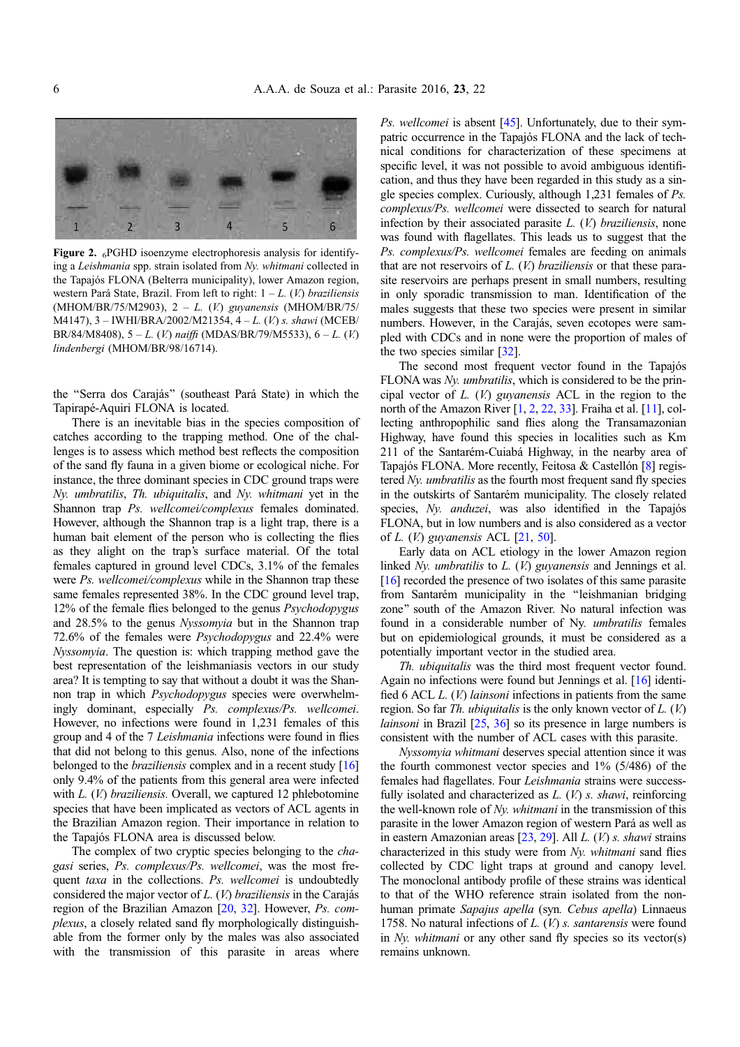<span id="page-5-0"></span>

Figure 2.  $_6$ PGHD isoenzyme electrophoresis analysis for identifying a Leishmania spp. strain isolated from Ny. whitmani collected in the Tapajós FLONA (Belterra municipality), lower Amazon region, western Pará State, Brazil. From left to right:  $1 - L$ . (V.) braziliensis (MHOM/BR/75/M2903), 2 – L. (V.) guyanensis (MHOM/BR/75/ M4147), 3 – IWHI/BRA/2002/M21354, 4 – L. (V.) s. shawi (MCEB/ BR/84/M8408),  $5 - L$ . (*V.*) naiffi (MDAS/BR/79/M5533),  $6 - L$ . (*V.*) lindenbergi (MHOM/BR/98/16714).

the ''Serra dos Carajás'' (southeast Pará State) in which the Tapirapé-Aquiri FLONA is located.

There is an inevitable bias in the species composition of catches according to the trapping method. One of the challenges is to assess which method best reflects the composition of the sand fly fauna in a given biome or ecological niche. For instance, the three dominant species in CDC ground traps were Ny. umbratilis, Th. ubiquitalis, and Ny. whitmani yet in the Shannon trap Ps. wellcomei/complexus females dominated. However, although the Shannon trap is a light trap, there is a human bait element of the person who is collecting the flies as they alight on the trap's surface material. Of the total females captured in ground level CDCs, 3.1% of the females were Ps. wellcomei/complexus while in the Shannon trap these same females represented 38%. In the CDC ground level trap, 12% of the female flies belonged to the genus Psychodopygus and 28.5% to the genus Nyssomyia but in the Shannon trap 72.6% of the females were Psychodopygus and 22.4% were Nyssomyia. The question is: which trapping method gave the best representation of the leishmaniasis vectors in our study area? It is tempting to say that without a doubt it was the Shannon trap in which Psychodopygus species were overwhelmingly dominant, especially Ps. complexus/Ps. wellcomei. However, no infections were found in 1,231 females of this group and 4 of the 7 Leishmania infections were found in flies that did not belong to this genus. Also, none of the infections belonged to the *braziliensis* complex and in a recent study [[16](#page-7-0)] only 9.4% of the patients from this general area were infected with *L.* (*V.*) *braziliensis.* Overall, we captured 12 phlebotomine species that have been implicated as vectors of ACL agents in the Brazilian Amazon region. Their importance in relation to the Tapajós FLONA area is discussed below.

The complex of two cryptic species belonging to the chagasi series, Ps. complexus/Ps. wellcomei, was the most frequent taxa in the collections. Ps. wellcomei is undoubtedly considered the major vector of L. (V.) braziliensis in the Carajás region of the Brazilian Amazon [\[20,](#page-8-0) [32\]](#page-8-0). However, Ps. complexus, a closely related sand fly morphologically distinguishable from the former only by the males was also associated with the transmission of this parasite in areas where Ps. wellcomei is absent [[45](#page-8-0)]. Unfortunately, due to their sympatric occurrence in the Tapajós FLONA and the lack of technical conditions for characterization of these specimens at specific level, it was not possible to avoid ambiguous identification, and thus they have been regarded in this study as a single species complex. Curiously, although 1,231 females of Ps. complexus/Ps. wellcomei were dissected to search for natural infection by their associated parasite  $L$ .  $(V)$  braziliensis, none was found with flagellates. This leads us to suggest that the Ps. complexus/Ps. wellcomei females are feeding on animals that are not reservoirs of  $L$ .  $(V)$  braziliensis or that these parasite reservoirs are perhaps present in small numbers, resulting in only sporadic transmission to man. Identification of the males suggests that these two species were present in similar numbers. However, in the Carajás, seven ecotopes were sampled with CDCs and in none were the proportion of males of the two species similar [\[32\]](#page-8-0).

The second most frequent vector found in the Tapajós FLONA was Ny. umbratilis, which is considered to be the principal vector of  $L$ .  $(V)$  guyanensis ACL in the region to the north of the Amazon River [[1](#page-7-0), [2,](#page-7-0) 22, [33\]](#page-8-0). Fraiha et al. [\[11\]](#page-7-0), collecting anthropophilic sand flies along the Transamazonian Highway, have found this species in localities such as Km 211 of the Santarém-Cuiabá Highway, in the nearby area of Tapajós FLONA. More recently, Feitosa & Castellón [\[8](#page-7-0)] registered Ny. umbratilis as the fourth most frequent sand fly species in the outskirts of Santarém municipality. The closely related species, Ny. anduzei, was also identified in the Tapajós FLONA, but in low numbers and is also considered as a vector of L.  $(V)$  guyanensis ACL  $[21, 50]$  $[21, 50]$  $[21, 50]$  $[21, 50]$ .

Early data on ACL etiology in the lower Amazon region linked Ny. umbratilis to L. (V.) guyanensis and Jennings et al. [\[16\]](#page-7-0) recorded the presence of two isolates of this same parasite from Santarém municipality in the ''leishmanian bridging zone'' south of the Amazon River. No natural infection was found in a considerable number of Ny. umbratilis females but on epidemiological grounds, it must be considered as a potentially important vector in the studied area.

Th. ubiquitalis was the third most frequent vector found. Again no infections were found but Jennings et al. [[16\]](#page-7-0) identified 6 ACL L. (V.) lainsoni infections in patients from the same region. So far *Th. ubiquitalis* is the only known vector of *L*. (*V*.) *lainsoni* in Brazil  $[25, 36]$  $[25, 36]$  $[25, 36]$  $[25, 36]$  so its presence in large numbers is consistent with the number of ACL cases with this parasite.

Nyssomyia whitmani deserves special attention since it was the fourth commonest vector species and 1% (5/486) of the females had flagellates. Four Leishmania strains were successfully isolated and characterized as  $L$ .  $(V)$  s. shawi, reinforcing the well-known role of Ny. whitmani in the transmission of this parasite in the lower Amazon region of western Pará as well as in eastern Amazonian areas [\[23,](#page-8-0) [29](#page-8-0)]. All L. (V.) s. shawi strains characterized in this study were from Ny. whitmani sand flies collected by CDC light traps at ground and canopy level. The monoclonal antibody profile of these strains was identical to that of the WHO reference strain isolated from the nonhuman primate Sapajus apella (syn. Cebus apella) Linnaeus 1758. No natural infections of  $L$ .  $(V)$  s. santarensis were found in Ny. whitmani or any other sand fly species so its vector(s) remains unknown.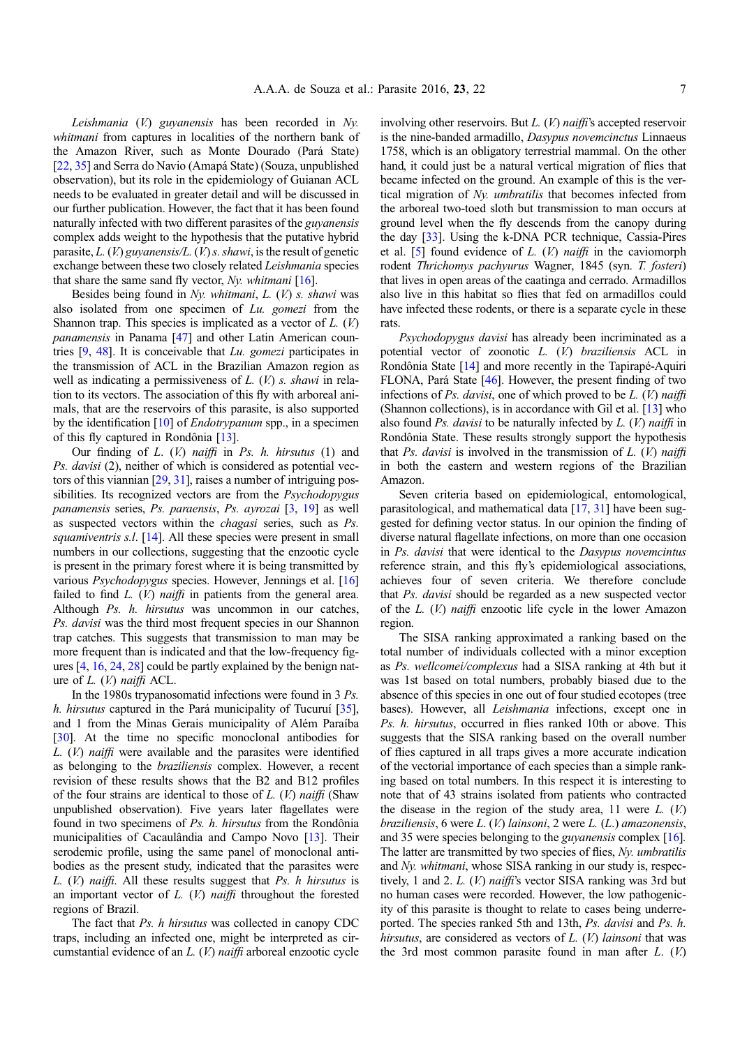Leishmania (V.) guyanensis has been recorded in Ny. whitmani from captures in localities of the northern bank of the Amazon River, such as Monte Dourado (Pará State) [22, [35\]](#page-8-0) and Serra do Navio (Amapá State) (Souza, unpublished observation), but its role in the epidemiology of Guianan ACL needs to be evaluated in greater detail and will be discussed in our further publication. However, the fact that it has been found naturally infected with two different parasites of the guyanensis complex adds weight to the hypothesis that the putative hybrid parasite,  $L$ . (V.) guyanensis/ $L$ . (V.) s. shawi, is the result of genetic exchange between these two closely related Leishmania species that share the same sand fly vector,  $Ny$ . whitmani [\[16](#page-7-0)].

Besides being found in Ny. whitmani, L. (V.) s. shawi was also isolated from one specimen of Lu. gomezi from the Shannon trap. This species is implicated as a vector of  $L$ .  $(V)$ panamensis in Panama [\[47\]](#page-9-0) and other Latin American countries  $[9, 48]$  $[9, 48]$  $[9, 48]$ . It is conceivable that *Lu. gomezi* participates in the transmission of ACL in the Brazilian Amazon region as well as indicating a permissiveness of  $L$ .  $(V)$  s. shawi in relation to its vectors. The association of this fly with arboreal animals, that are the reservoirs of this parasite, is also supported by the identification [\[10\]](#page-7-0) of *Endotrypanum* spp., in a specimen of this fly captured in Rondônia [\[13](#page-7-0)].

Our finding of  $L$ .  $(V)$  naiffi in Ps. h. hirsutus  $(1)$  and Ps. davisi (2), neither of which is considered as potential vectors of this viannian [[29](#page-8-0), [31\]](#page-8-0), raises a number of intriguing possibilities. Its recognized vectors are from the *Psychodopygus* panamensis series, Ps. paraensis, Ps. ayrozai [\[3](#page-7-0), [19](#page-7-0)] as well as suspected vectors within the chagasi series, such as Ps. squamiventris s.l. [[14\]](#page-7-0). All these species were present in small numbers in our collections, suggesting that the enzootic cycle is present in the primary forest where it is being transmitted by various Psychodopygus species. However, Jennings et al. [[16](#page-7-0)] failed to find  $L$ . (V.) *naiffi* in patients from the general area. Although Ps. h. hirsutus was uncommon in our catches, Ps. davisi was the third most frequent species in our Shannon trap catches. This suggests that transmission to man may be more frequent than is indicated and that the low-frequency figures [\[4,](#page-7-0) [16](#page-7-0), [24,](#page-8-0) [28](#page-8-0)] could be partly explained by the benign nature of  $L$ .  $(V)$  naiffi ACL.

In the 1980s trypanosomatid infections were found in 3 Ps. h. hirsutus captured in the Pará municipality of Tucuruí [\[35](#page-8-0)], and 1 from the Minas Gerais municipality of Além Paraíba [[30](#page-8-0)]. At the time no specific monoclonal antibodies for  $L.$  (*V.*) *naiffi* were available and the parasites were identified as belonging to the braziliensis complex. However, a recent revision of these results shows that the B2 and B12 profiles of the four strains are identical to those of  $L$ . (V.) naiffi (Shaw unpublished observation). Five years later flagellates were found in two specimens of Ps. h. hirsutus from the Rondônia municipalities of Cacaulândia and Campo Novo [\[13\]](#page-7-0). Their serodemic profile, using the same panel of monoclonal antibodies as the present study, indicated that the parasites were L.  $(V)$  naiffi. All these results suggest that Ps. h hirsutus is an important vector of  $L$ .  $(V)$  naiffi throughout the forested regions of Brazil.

The fact that Ps. h hirsutus was collected in canopy CDC traps, including an infected one, might be interpreted as circumstantial evidence of an L. (V.) naiffi arboreal enzootic cycle involving other reservoirs. But  $L$ . (V) naiffi's accepted reservoir is the nine-banded armadillo, Dasypus novemcinctus Linnaeus 1758, which is an obligatory terrestrial mammal. On the other hand, it could just be a natural vertical migration of flies that became infected on the ground. An example of this is the vertical migration of Ny. umbratilis that becomes infected from the arboreal two-toed sloth but transmission to man occurs at ground level when the fly descends from the canopy during the day [\[33\]](#page-8-0). Using the k-DNA PCR technique, Cassia-Pires et al. [[5\]](#page-7-0) found evidence of  $L$ .  $(V)$  naiffi in the caviomorph rodent Thrichomys pachyurus Wagner, 1845 (syn. T. fosteri) that lives in open areas of the caatinga and cerrado. Armadillos also live in this habitat so flies that fed on armadillos could have infected these rodents, or there is a separate cycle in these rats.

Psychodopygus davisi has already been incriminated as a potential vector of zoonotic L. (V.) braziliensis ACL in Rondônia State [\[14](#page-7-0)] and more recently in the Tapirapé-Aquiri FLONA, Pará State [[46](#page-8-0)]. However, the present finding of two infections of Ps. davisi, one of which proved to be  $L$ . (V.) naiffi (Shannon collections), is in accordance with Gil et al. [[13\]](#page-7-0) who also found Ps. davisi to be naturally infected by  $L$ . (V) naiffi in Rondônia State. These results strongly support the hypothesis that Ps. davisi is involved in the transmission of  $L$ . (V.) naiffi in both the eastern and western regions of the Brazilian Amazon.

Seven criteria based on epidemiological, entomological, parasitological, and mathematical data [[17](#page-7-0), [31](#page-8-0)] have been suggested for defining vector status. In our opinion the finding of diverse natural flagellate infections, on more than one occasion in Ps. davisi that were identical to the Dasypus novemcintus reference strain, and this fly's epidemiological associations, achieves four of seven criteria. We therefore conclude that Ps. davisi should be regarded as a new suspected vector of the  $L$ .  $(V)$  naiffi enzootic life cycle in the lower Amazon region.

The SISA ranking approximated a ranking based on the total number of individuals collected with a minor exception as Ps. wellcomei/complexus had a SISA ranking at 4th but it was 1st based on total numbers, probably biased due to the absence of this species in one out of four studied ecotopes (tree bases). However, all Leishmania infections, except one in Ps. h. hirsutus, occurred in flies ranked 10th or above. This suggests that the SISA ranking based on the overall number of flies captured in all traps gives a more accurate indication of the vectorial importance of each species than a simple ranking based on total numbers. In this respect it is interesting to note that of 43 strains isolated from patients who contracted the disease in the region of the study area, 11 were  $L$ .  $(V)$ braziliensis, 6 were  $L.$  (V.) lainsoni, 2 were  $L.$  (L.) amazonensis, and 35 were species belonging to the guyanensis complex [[16](#page-7-0)]. The latter are transmitted by two species of flies, Ny. umbratilis and Ny. whitmani, whose SISA ranking in our study is, respectively, 1 and 2. L. (V.) naiffi's vector SISA ranking was 3rd but no human cases were recorded. However, the low pathogenicity of this parasite is thought to relate to cases being underreported. The species ranked 5th and 13th, Ps. davisi and Ps. h. hirsutus, are considered as vectors of  $L$ .  $(V)$  lainsoni that was the 3rd most common parasite found in man after  $L$ .  $(V)$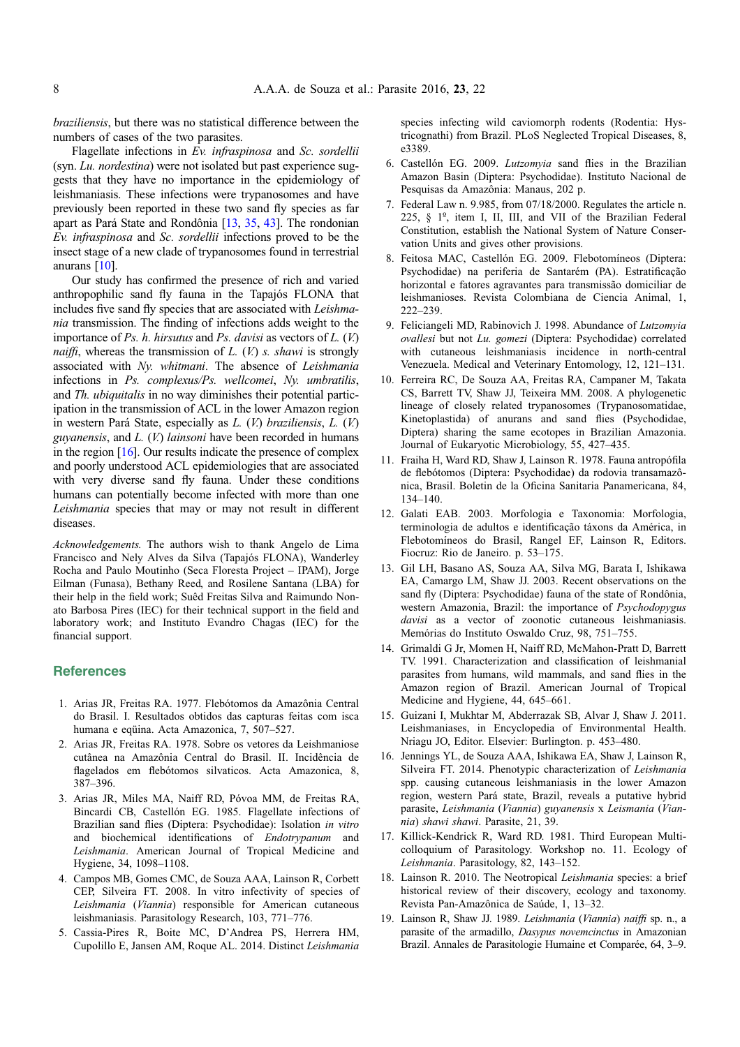<span id="page-7-0"></span>braziliensis, but there was no statistical difference between the numbers of cases of the two parasites.

Flagellate infections in Ev. infraspinosa and Sc. sordellii (syn. Lu. nordestina) were not isolated but past experience suggests that they have no importance in the epidemiology of leishmaniasis. These infections were trypanosomes and have previously been reported in these two sand fly species as far apart as Pará State and Rondônia [13, [35,](#page-8-0) [43](#page-8-0)]. The rondonian Ev. infraspinosa and Sc. sordellii infections proved to be the insect stage of a new clade of trypanosomes found in terrestrial anurans [10].

Our study has confirmed the presence of rich and varied anthropophilic sand fly fauna in the Tapajós FLONA that includes five sand fly species that are associated with Leishmania transmission. The finding of infections adds weight to the importance of Ps.  $h$ . hirsutus and Ps. davisi as vectors of  $L$ .  $(V)$ . *naiffi*, whereas the transmission of  $L$ .  $(V)$  *s. shawi* is strongly associated with Ny. whitmani. The absence of Leishmania infections in Ps. complexus/Ps. wellcomei, Ny. umbratilis, and Th. ubiquitalis in no way diminishes their potential participation in the transmission of ACL in the lower Amazon region in western Pará State, especially as L. (V.) braziliensis, L. (V.) guyanensis, and L. (V.) lainsoni have been recorded in humans in the region [16]. Our results indicate the presence of complex and poorly understood ACL epidemiologies that are associated with very diverse sand fly fauna. Under these conditions humans can potentially become infected with more than one Leishmania species that may or may not result in different diseases.

Acknowledgements. The authors wish to thank Angelo de Lima Francisco and Nely Alves da Silva (Tapajós FLONA), Wanderley Rocha and Paulo Moutinho (Seca Floresta Project – IPAM), Jorge Eilman (Funasa), Bethany Reed, and Rosilene Santana (LBA) for their help in the field work; Suêd Freitas Silva and Raimundo Nonato Barbosa Pires (IEC) for their technical support in the field and laboratory work; and Instituto Evandro Chagas (IEC) for the financial support.

### **References**

- 1. Arias JR, Freitas RA. 1977. Flebótomos da Amazônia Central do Brasil. I. Resultados obtidos das capturas feitas com isca humana e eqüina. Acta Amazonica, 7, 507–527.
- 2. Arias JR, Freitas RA. 1978. Sobre os vetores da Leishmaniose cutânea na Amazônia Central do Brasil. II. Incidência de flagelados em flebótomos silvaticos. Acta Amazonica, 8, 387–396.
- 3. Arias JR, Miles MA, Naiff RD, Póvoa MM, de Freitas RA, Bincardi CB, Castellón EG. 1985. Flagellate infections of Brazilian sand flies (Diptera: Psychodidae): Isolation in vitro and biochemical identifications of Endotrypanum and Leishmania. American Journal of Tropical Medicine and Hygiene, 34, 1098–1108.
- 4. Campos MB, Gomes CMC, de Souza AAA, Lainson R, Corbett CEP, Silveira FT. 2008. In vitro infectivity of species of Leishmania (Viannia) responsible for American cutaneous leishmaniasis. Parasitology Research, 103, 771–776.
- 5. Cassia-Pires R, Boite MC, D'Andrea PS, Herrera HM, Cupolillo E, Jansen AM, Roque AL. 2014. Distinct Leishmania

species infecting wild caviomorph rodents (Rodentia: Hystricognathi) from Brazil. PLoS Neglected Tropical Diseases, 8, e3389.

- 6. Castellón EG. 2009. Lutzomyia sand flies in the Brazilian Amazon Basin (Diptera: Psychodidae). Instituto Nacional de Pesquisas da Amazônia: Manaus, 202 p.
- 7. Federal Law n. 9.985, from 07/18/2000. Regulates the article n. 225, § 1º, item I, II, III, and VII of the Brazilian Federal Constitution, establish the National System of Nature Conservation Units and gives other provisions.
- 8. Feitosa MAC, Castellón EG. 2009. Flebotomíneos (Diptera: Psychodidae) na periferia de Santarém (PA). Estratificação horizontal e fatores agravantes para transmissão domiciliar de leishmanioses. Revista Colombiana de Ciencia Animal, 1, 222–239.
- 9. Feliciangeli MD, Rabinovich J. 1998. Abundance of Lutzomyia ovallesi but not Lu. gomezi (Diptera: Psychodidae) correlated with cutaneous leishmaniasis incidence in north-central Venezuela. Medical and Veterinary Entomology, 12, 121–131.
- 10. Ferreira RC, De Souza AA, Freitas RA, Campaner M, Takata CS, Barrett TV, Shaw JJ, Teixeira MM. 2008. A phylogenetic lineage of closely related trypanosomes (Trypanosomatidae, Kinetoplastida) of anurans and sand flies (Psychodidae, Diptera) sharing the same ecotopes in Brazilian Amazonia. Journal of Eukaryotic Microbiology, 55, 427–435.
- 11. Fraiha H, Ward RD, Shaw J, Lainson R. 1978. Fauna antropófila de flebótomos (Diptera: Psychodidae) da rodovia transamazônica, Brasil. Boletin de la Oficina Sanitaria Panamericana, 84, 134–140.
- 12. Galati EAB. 2003. Morfologia e Taxonomia: Morfologia, terminologia de adultos e identificação táxons da América, in Flebotomíneos do Brasil, Rangel EF, Lainson R, Editors. Fiocruz: Rio de Janeiro. p. 53–175.
- 13. Gil LH, Basano AS, Souza AA, Silva MG, Barata I, Ishikawa EA, Camargo LM, Shaw JJ. 2003. Recent observations on the sand fly (Diptera: Psychodidae) fauna of the state of Rondônia, western Amazonia, Brazil: the importance of Psychodopygus davisi as a vector of zoonotic cutaneous leishmaniasis. Memórias do Instituto Oswaldo Cruz, 98, 751–755.
- 14. Grimaldi G Jr, Momen H, Naiff RD, McMahon-Pratt D, Barrett TV. 1991. Characterization and classification of leishmanial parasites from humans, wild mammals, and sand flies in the Amazon region of Brazil. American Journal of Tropical Medicine and Hygiene, 44, 645–661.
- 15. Guizani I, Mukhtar M, Abderrazak SB, Alvar J, Shaw J. 2011. Leishmaniases, in Encyclopedia of Environmental Health. Nriagu JO, Editor. Elsevier: Burlington. p. 453–480.
- 16. Jennings YL, de Souza AAA, Ishikawa EA, Shaw J, Lainson R, Silveira FT. 2014. Phenotypic characterization of Leishmania spp. causing cutaneous leishmaniasis in the lower Amazon region, western Pará state, Brazil, reveals a putative hybrid parasite, Leishmania (Viannia) guyanensis x Leismania (Viannia) shawi shawi. Parasite, 21, 39.
- 17. Killick-Kendrick R, Ward RD. 1981. Third European Multicolloquium of Parasitology. Workshop no. 11. Ecology of Leishmania. Parasitology, 82, 143–152.
- 18. Lainson R. 2010. The Neotropical Leishmania species: a brief historical review of their discovery, ecology and taxonomy. Revista Pan-Amazônica de Saúde, 1, 13–32.
- 19. Lainson R, Shaw JJ. 1989. Leishmania (Viannia) naiffi sp. n., a parasite of the armadillo, Dasypus novemcinctus in Amazonian Brazil. Annales de Parasitologie Humaine et Comparée, 64, 3–9.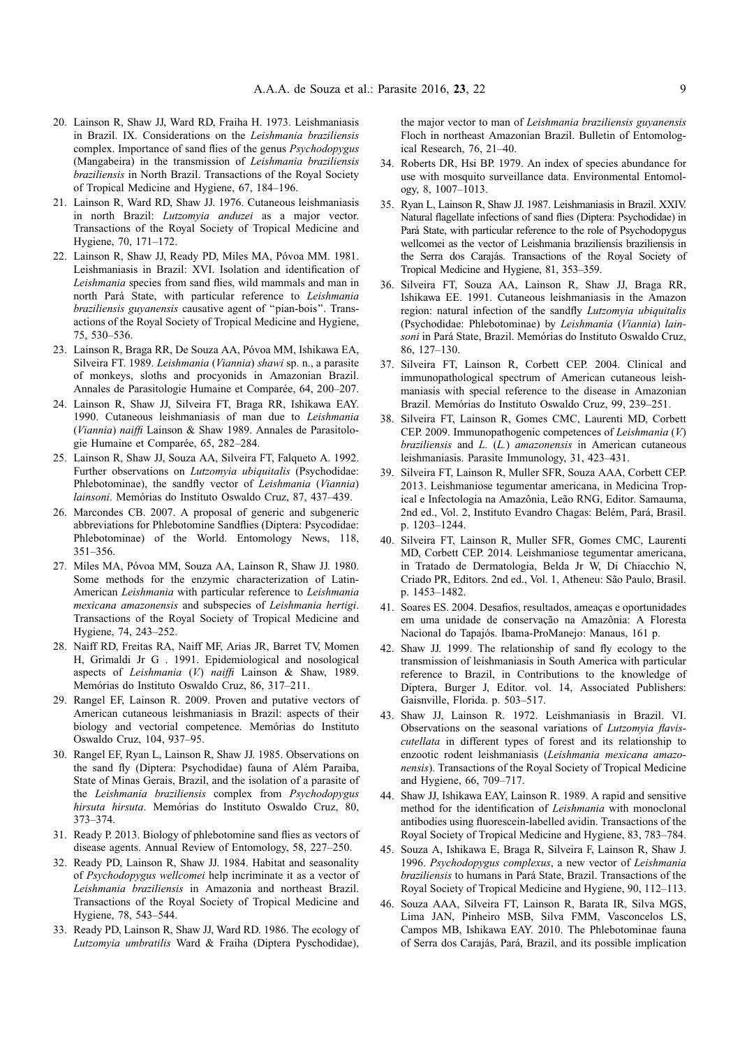- <span id="page-8-0"></span>20. Lainson R, Shaw JJ, Ward RD, Fraiha H. 1973. Leishmaniasis in Brazil. IX. Considerations on the Leishmania braziliensis complex. Importance of sand flies of the genus Psychodopygus (Mangabeira) in the transmission of Leishmania braziliensis braziliensis in North Brazil. Transactions of the Royal Society of Tropical Medicine and Hygiene, 67, 184–196.
- 21. Lainson R, Ward RD, Shaw JJ. 1976. Cutaneous leishmaniasis in north Brazil: Lutzomyia anduzei as a major vector. Transactions of the Royal Society of Tropical Medicine and Hygiene, 70, 171–172.
- 22. Lainson R, Shaw JJ, Ready PD, Miles MA, Póvoa MM. 1981. Leishmaniasis in Brazil: XVI. Isolation and identification of Leishmania species from sand flies, wild mammals and man in north Pará State, with particular reference to Leishmania braziliensis guyanensis causative agent of ''pian-bois''. Transactions of the Royal Society of Tropical Medicine and Hygiene, 75, 530–536.
- 23. Lainson R, Braga RR, De Souza AA, Póvoa MM, Ishikawa EA, Silveira FT. 1989. Leishmania (Viannia) shawi sp. n., a parasite of monkeys, sloths and procyonids in Amazonian Brazil. Annales de Parasitologie Humaine et Comparée, 64, 200–207.
- 24. Lainson R, Shaw JJ, Silveira FT, Braga RR, Ishikawa EAY. 1990. Cutaneous leishmaniasis of man due to Leishmania (Viannia) naiffi Lainson & Shaw 1989. Annales de Parasitologie Humaine et Comparée, 65, 282–284.
- 25. Lainson R, Shaw JJ, Souza AA, Silveira FT, Falqueto A. 1992. Further observations on Lutzomyia ubiquitalis (Psychodidae: Phlebotominae), the sandfly vector of Leishmania (Viannia) lainsoni. Memórias do Instituto Oswaldo Cruz, 87, 437–439.
- 26. Marcondes CB. 2007. A proposal of generic and subgeneric abbreviations for Phlebotomine Sandflies (Diptera: Psycodidae: Phlebotominae) of the World. Entomology News, 118, 351–356.
- 27. Miles MA, Póvoa MM, Souza AA, Lainson R, Shaw JJ. 1980. Some methods for the enzymic characterization of Latin-American Leishmania with particular reference to Leishmania mexicana amazonensis and subspecies of Leishmania hertigi. Transactions of the Royal Society of Tropical Medicine and Hygiene, 74, 243–252.
- 28. Naiff RD, Freitas RA, Naiff MF, Arias JR, Barret TV, Momen H, Grimaldi Jr G . 1991. Epidemiological and nosological aspects of Leishmania (V.) naiffi Lainson & Shaw, 1989. Memórias do Instituto Oswaldo Cruz, 86, 317–211.
- 29. Rangel EF, Lainson R. 2009. Proven and putative vectors of American cutaneous leishmaniasis in Brazil: aspects of their biology and vectorial competence. Memórias do Instituto Oswaldo Cruz, 104, 937–95.
- 30. Rangel EF, Ryan L, Lainson R, Shaw JJ. 1985. Observations on the sand fly (Diptera: Psychodidae) fauna of Além Paraiba, State of Minas Gerais, Brazil, and the isolation of a parasite of the Leishmania braziliensis complex from Psychodopygus hirsuta hirsuta. Memórias do Instituto Oswaldo Cruz, 80, 373–374.
- 31. Ready P. 2013. Biology of phlebotomine sand flies as vectors of disease agents. Annual Review of Entomology, 58, 227–250.
- 32. Ready PD, Lainson R, Shaw JJ. 1984. Habitat and seasonality of Psychodopygus wellcomei help incriminate it as a vector of Leishmania braziliensis in Amazonia and northeast Brazil. Transactions of the Royal Society of Tropical Medicine and Hygiene, 78, 543–544.
- 33. Ready PD, Lainson R, Shaw JJ, Ward RD. 1986. The ecology of Lutzomyia umbratilis Ward & Fraiha (Diptera Pyschodidae),

the major vector to man of Leishmania braziliensis guyanensis Floch in northeast Amazonian Brazil. Bulletin of Entomological Research, 76, 21–40.

- 34. Roberts DR, Hsi BP. 1979. An index of species abundance for use with mosquito surveillance data. Environmental Entomology, 8, 1007–1013.
- 35. Ryan L, Lainson R, Shaw JJ. 1987. Leishmaniasis in Brazil. XXIV. Natural flagellate infections of sand flies (Diptera: Psychodidae) in Pará State, with particular reference to the role of Psychodopygus wellcomei as the vector of Leishmania braziliensis braziliensis in the Serra dos Carajás. Transactions of the Royal Society of Tropical Medicine and Hygiene, 81, 353–359.
- 36. Silveira FT, Souza AA, Lainson R, Shaw JJ, Braga RR, Ishikawa EE. 1991. Cutaneous leishmaniasis in the Amazon region: natural infection of the sandfly Lutzomyia ubiquitalis (Psychodidae: Phlebotominae) by Leishmania (Viannia) lainsoni in Pará State, Brazil. Memórias do Instituto Oswaldo Cruz, 86, 127–130.
- 37. Silveira FT, Lainson R, Corbett CEP. 2004. Clinical and immunopathological spectrum of American cutaneous leishmaniasis with special reference to the disease in Amazonian Brazil. Memórias do Instituto Oswaldo Cruz, 99, 239–251.
- 38. Silveira FT, Lainson R, Gomes CMC, Laurenti MD, Corbett CEP. 2009. Immunopathogenic competences of Leishmania (V.) braziliensis and L. (L.) amazonensis in American cutaneous leishmaniasis. Parasite Immunology, 31, 423–431.
- 39. Silveira FT, Lainson R, Muller SFR, Souza AAA, Corbett CEP. 2013. Leishmaniose tegumentar americana, in Medicina Tropical e Infectologia na Amazônia, Leão RNG, Editor. Samauma, 2nd ed., Vol. 2, Instituto Evandro Chagas: Belém, Pará, Brasil. p. 1203–1244.
- 40. Silveira FT, Lainson R, Muller SFR, Gomes CMC, Laurenti MD, Corbett CEP. 2014. Leishmaniose tegumentar americana, in Tratado de Dermatologia, Belda Jr W, Di Chiacchio N, Criado PR, Editors. 2nd ed., Vol. 1, Atheneu: São Paulo, Brasil. p. 1453–1482.
- 41. Soares ES. 2004. Desafios, resultados, ameaças e oportunidades em uma unidade de conservação na Amazônia: A Floresta Nacional do Tapajós. Ibama-ProManejo: Manaus, 161 p.
- 42. Shaw JJ. 1999. The relationship of sand fly ecology to the transmission of leishmaniasis in South America with particular reference to Brazil, in Contributions to the knowledge of Diptera, Burger J, Editor. vol. 14, Associated Publishers: Gaisnville, Florida. p. 503–517.
- 43. Shaw JJ, Lainson R. 1972. Leishmaniasis in Brazil. VI. Observations on the seasonal variations of Lutzomyia flaviscutellata in different types of forest and its relationship to enzootic rodent leishmaniasis (Leishmania mexicana amazonensis). Transactions of the Royal Society of Tropical Medicine and Hygiene, 66, 709–717.
- 44. Shaw JJ, Ishikawa EAY, Lainson R. 1989. A rapid and sensitive method for the identification of Leishmania with monoclonal antibodies using fluorescein-labelled avidin. Transactions of the Royal Society of Tropical Medicine and Hygiene, 83, 783–784.
- 45. Souza A, Ishikawa E, Braga R, Silveira F, Lainson R, Shaw J. 1996. Psychodopygus complexus, a new vector of Leishmania braziliensis to humans in Pará State, Brazil. Transactions of the Royal Society of Tropical Medicine and Hygiene, 90, 112–113.
- 46. Souza AAA, Silveira FT, Lainson R, Barata IR, Silva MGS, Lima JAN, Pinheiro MSB, Silva FMM, Vasconcelos LS, Campos MB, Ishikawa EAY. 2010. The Phlebotominae fauna of Serra dos Carajás, Pará, Brazil, and its possible implication